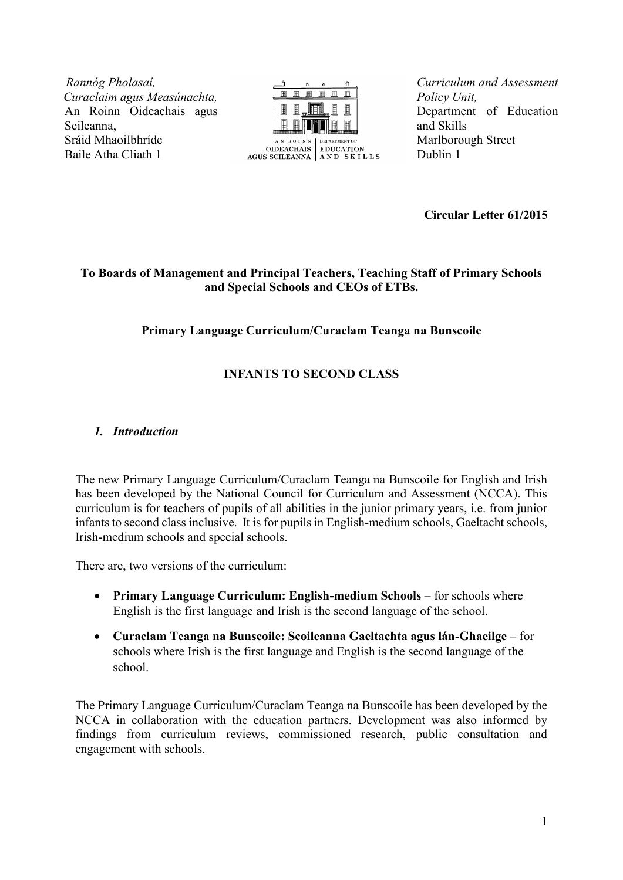*R Rannóg Pholasaí, C Curaclaim agus Measúnachta,* An Roinn Oideachais agus Scileanna, Sráid Mhaoilbhríde Baile Atha Cliath 1



*Curriculum and Assessment Policy Unit,* Department of Education and Skills Marlborough Street Dublin 1

**Circular Letter 61/2015**

## **To Boards of Management and Principal Teachers, Teaching Staff of Primary Schools and Special Schools and CEOs of ETBs.**

## **Primary Language Curriculum/Curaclam Teanga na Bunscoile**

# **INFANTS TO SECOND CLASS**

## *1. Introduction*

The new Primary Language Curriculum/Curaclam Teanga na Bunscoile for English and Irish has been developed by the National Council for Curriculum and Assessment (NCCA). This curriculum is for teachers of pupils of all abilities in the junior primary years, i.e. from junior infants to second class inclusive. It is for pupils in English-medium schools, Gaeltacht schools, Irish-medium schools and special schools.

There are, two versions of the curriculum:

- **Primary Language Curriculum: English-medium Schools –** for schools where English is the first language and Irish is the second language of the school.
- **Curaclam Teanga na Bunscoile: Scoileanna Gaeltachta agus lán-Ghaeilge**  for schools where Irish is the first language and English is the second language of the school.

The Primary Language Curriculum/Curaclam Teanga na Bunscoile has been developed by the NCCA in collaboration with the education partners. Development was also informed by findings from curriculum reviews, commissioned research, public consultation and engagement with schools.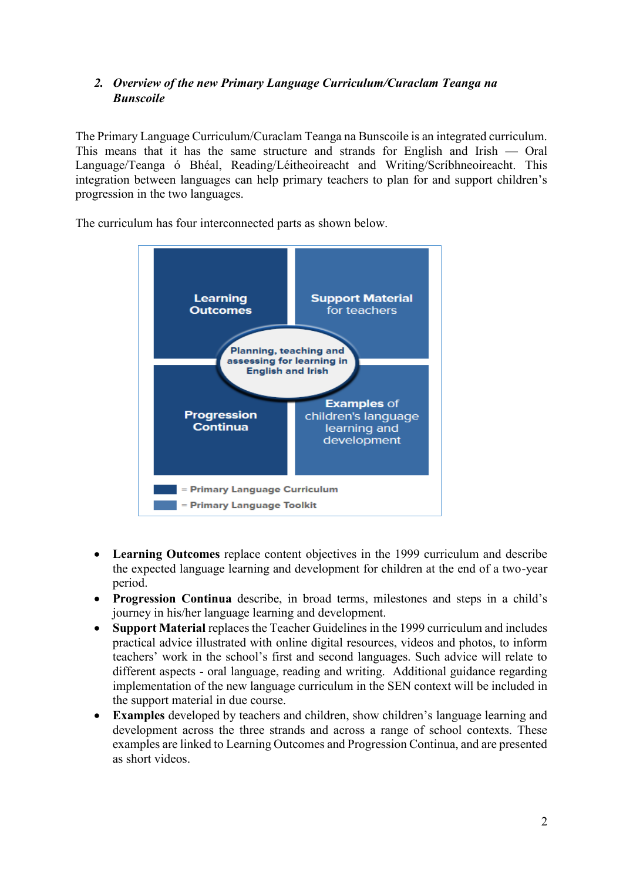# *2. Overview of the new Primary Language Curriculum/Curaclam Teanga na Bunscoile*

The Primary Language Curriculum/Curaclam Teanga na Bunscoile is an integrated curriculum. This means that it has the same structure and strands for English and Irish — Oral Language/Teanga ó Bhéal, Reading/Léitheoireacht and Writing/Scríbhneoireacht. This integration between languages can help primary teachers to plan for and support children's progression in the two languages.

The curriculum has four interconnected parts as shown below.



- **Learning Outcomes** replace content objectives in the 1999 curriculum and describe the expected language learning and development for children at the end of a two-year period.
- **Progression Continua** describe, in broad terms, milestones and steps in a child's journey in his/her language learning and development.
- **Support Material** replaces the Teacher Guidelines in the 1999 curriculum and includes practical advice illustrated with online digital resources, videos and photos, to inform teachers' work in the school's first and second languages. Such advice will relate to different aspects - oral language, reading and writing. Additional guidance regarding implementation of the new language curriculum in the SEN context will be included in the support material in due course.
- **Examples** developed by teachers and children, show children's language learning and development across the three strands and across a range of school contexts. These examples are linked to Learning Outcomes and Progression Continua, and are presented as short videos.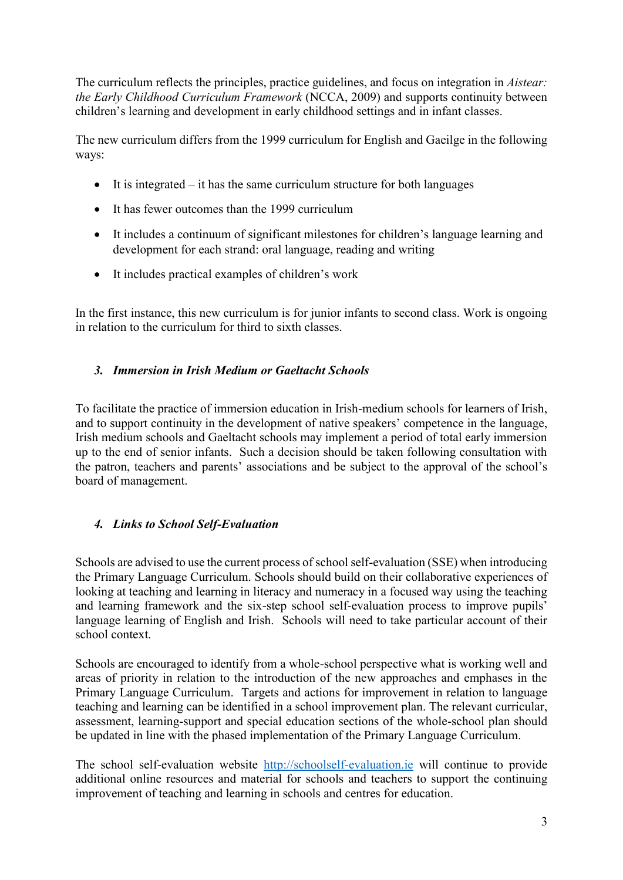The curriculum reflects the principles, practice guidelines, and focus on integration in *Aistear: the Early Childhood Curriculum Framework* (NCCA, 2009) and supports continuity between children's learning and development in early childhood settings and in infant classes.

The new curriculum differs from the 1999 curriculum for English and Gaeilge in the following ways:

- It is integrated it has the same curriculum structure for both languages
- It has fewer outcomes than the 1999 curriculum
- It includes a continuum of significant milestones for children's language learning and development for each strand: oral language, reading and writing
- It includes practical examples of children's work

In the first instance, this new curriculum is for junior infants to second class. Work is ongoing in relation to the curriculum for third to sixth classes.

# *3. Immersion in Irish Medium or Gaeltacht Schools*

To facilitate the practice of immersion education in Irish-medium schools for learners of Irish, and to support continuity in the development of native speakers' competence in the language, Irish medium schools and Gaeltacht schools may implement a period of total early immersion up to the end of senior infants. Such a decision should be taken following consultation with the patron, teachers and parents' associations and be subject to the approval of the school's board of management.

# *4. Links to School Self-Evaluation*

Schools are advised to use the current process of school self-evaluation (SSE) when introducing the Primary Language Curriculum. Schools should build on their collaborative experiences of looking at teaching and learning in literacy and numeracy in a focused way using the teaching and learning framework and the six-step school self-evaluation process to improve pupils' language learning of English and Irish. Schools will need to take particular account of their school context.

Schools are encouraged to identify from a whole-school perspective what is working well and areas of priority in relation to the introduction of the new approaches and emphases in the Primary Language Curriculum. Targets and actions for improvement in relation to language teaching and learning can be identified in a school improvement plan. The relevant curricular, assessment, learning-support and special education sections of the whole-school plan should be updated in line with the phased implementation of the Primary Language Curriculum.

The school self-evaluation website [http://schoolself-evaluation.ie](http://schoolself-evaluation.ie/) will continue to provide additional online resources and material for schools and teachers to support the continuing improvement of teaching and learning in schools and centres for education.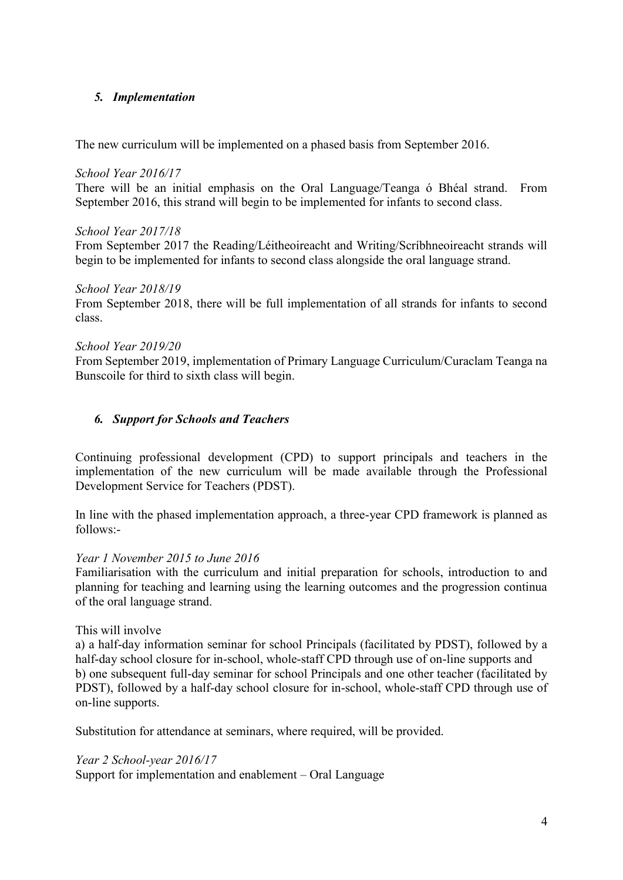## *5. Implementation*

The new curriculum will be implemented on a phased basis from September 2016.

#### *School Year 2016/17*

There will be an initial emphasis on the Oral Language/Teanga ó Bhéal strand. From September 2016, this strand will begin to be implemented for infants to second class.

#### *School Year 2017/18*

From September 2017 the Reading/Léitheoireacht and Writing/Scríbhneoireacht strands will begin to be implemented for infants to second class alongside the oral language strand.

### *School Year 2018/19*

From September 2018, there will be full implementation of all strands for infants to second class.

### *School Year 2019/20*

From September 2019, implementation of Primary Language Curriculum/Curaclam Teanga na Bunscoile for third to sixth class will begin.

## *6. Support for Schools and Teachers*

Continuing professional development (CPD) to support principals and teachers in the implementation of the new curriculum will be made available through the Professional Development Service for Teachers (PDST).

In line with the phased implementation approach, a three-year CPD framework is planned as follows:-

### *Year 1 November 2015 to June 2016*

Familiarisation with the curriculum and initial preparation for schools, introduction to and planning for teaching and learning using the learning outcomes and the progression continua of the oral language strand.

### This will involve

a) a half-day information seminar for school Principals (facilitated by PDST), followed by a half-day school closure for in-school, whole-staff CPD through use of on-line supports and b) one subsequent full-day seminar for school Principals and one other teacher (facilitated by PDST), followed by a half-day school closure for in-school, whole-staff CPD through use of on-line supports.

Substitution for attendance at seminars, where required, will be provided.

### *Year 2 School-year 2016/17*

Support for implementation and enablement – Oral Language